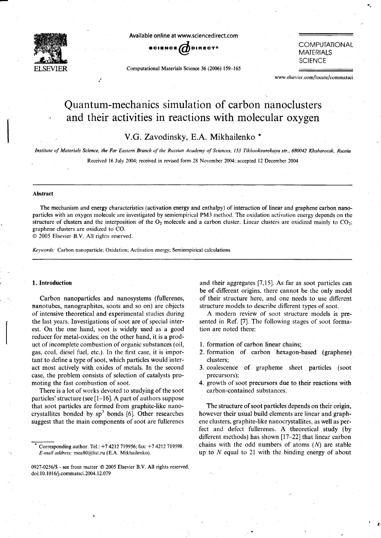

Available online at www.sciencedirect.com



Computational Materials Science 36 (2006) 159-165

**COMPUTATIONAL** MATERIALS **SCIENCE** 

www.elsevier.com/locate/commatsci

# Quantum-mechanics simulation of carbon nanoclusters and their activities in reactions with molecular oxygen

# V.G. Zavodinsky, E.A. Mikhailenko \*

Institute of Materials Science, the Far Eastern Branch of the Russian Academy of Sciences, 153 Tikhookeanskaya str., 680042 Khabarovsk, Russia

Received 16 July 2004; received in revised form 28 November 2004; accepted l2 December 2004

#### Abstract

The mechanism and energy characteristics (activation energy and enthalpy) of interaction of linear and graphene carbon nanoparticles with an oxygen molecule are investigated by semiempirical PM3 method. The oxidation activation energy depends on the structure of clusters and the interposition of the  $O_2$  molecule and a carbon cluster. Linear clusters are oxidized mainly to  $CO_2$ ; graphene clusters are oxidized to CO.

@ 2005 Elsevier B.V. All rights reserved.

Keywords: Carbon nanoparticle; Oxidation; Activation energy; Semiempirical calculations

#### 1. lntroduction

Carbon nanoparticles and nanosystems (fullerenes, nanotubes, nanographites, soots and so on) are objects of intensive theoretical and experimental studies during the last years. Investigations of soot are of special interest. On the one hand, soot is widely used as a good reducer for metal-oxides; on the other hand, it is a product of incomplete combustion of organic substances (oil, gas, coal, diesel fuel, etc.). In the first case, it is important to define a type of soot, which particles would interact most actively with oxides of metals. In the second case, the problem consists of selection of catalysts promoting the fast combustion of soot.

There is a lot of works devoted to studying of the soot particles' structure (see  $[1-16]$ . A part of authors suppose that soot particles are formed from graphite-like nanocrystallites bonded by  $sp<sup>3</sup>$  bonds [6]. Other researches suggest that the main components of soot are fullerenes

and their aggregates [7,15]. As far as soot particles can be of different origins, there cannot be the only model of their structure here, and one needs to use different structure models to describe different types of soot.

A modern review of soot structure models is presented in Ref. [7]. The following stages of soot formation are noted there:

- l. formation of carbon linear chains;
- 2. formation of carbon hexagon-based (graphene) clusters;
- 3. coalescence of grapheme sheet particles (soot precursors);
- 4. growth of soot precursors due to their reactions with carbon-contained substances.

The structure of soot particles depends on their origin, however their usual build elements are linear and graphene clusters, graphite-like nanocrystallites, as well as perfect and defect fullerenes. A theoretical study (by different methods) has shown  $[17-22]$  that linear carbon chains with the odd numbers of atoms  $(N)$  are stable up to  $N$  equal to 21 with the binding energy of about

Corresponding author. Tel.:  $+7$  4212 719956; fax:  $+7$  4212 719598. E-mail address: mea80@list.ru (E.A. Mikhailenko).

<sup>0927-0256/\$ -</sup> see front matter © 2005 Elsevier B.V. All rights reserved. doi: 10.1016/j.commatsci. 2004. 12.079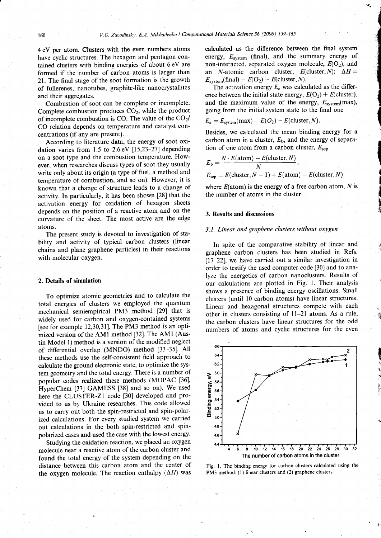4 eV per atom. Clusters with the even numbers atoms have cyclic structures. The hexagon and pentagon contained clusters with binding energies of about 6 eV are formed if the number of carbon atoms is larger than 21. The final stage of the soot formation is the growth of fullerenes, nanotubes, graphite-like nanocrystallites and their aggregates.

Combustion of soot can be complete or incomplete. Complete combustion produces  $CO<sub>2</sub>$ , while the product of incomplete combustion is CO. The value of the  $CO<sub>2</sub>/$ CO relation depends on temperature and catalyst concentrations (if any are present).

According to literature data, the energy of soot oxidation varies from 1.5 to 2.6 eV  $[15,23-27]$  depending on a soot type and the combustion temperature. However, when researches discuss types of soot they usually write only about its origin (a type of fuel, a method and temperature of combustion, and so on). However, it is known that a change of structure leads to a change of activity. In particularly, it has been shown [28] that the activation energy for oxidation of hexagon sheets depends on the position of a reactive atom and on the curvature of the sheet. The most active are the edge atoms.

The present study is devoted to investigation of stability and activity of typical carbon clusters (linear chains and plane graphene particles) in their reactions with molecular oxygen.

#### 2. Detaits of simulation

To optimize atomic geometries and to calculate the total energies of clusters we employed the quantum mechanical semiempirical PM3 method [29] that is widely used for carbon and oxygen-contained systems fsee for example 12,30,31]. The PM3 method is an optimized version of the AMI method [32]. The AMI (Austin Model l) method is a version of the modified neglect of differential overlap (MNDO) method [33-35]. All these methods use the self-consistent field approach to calculate the ground electronic state, to optimize the system geometry and the total energy. There is a number of popular codes realized these methods (MOPAC [36], HyperChem [37] GAMESS [38] and so on). We used here the CLUSTER-ZI code [30] developed and provided to us by Ukraine researches. This code allowed us to carry out both the spin-restricted and spin-polarized calculations. For every studied system we carried out calculations in the both spin-restricted and spinpolarized cases and used the case with the lowest energy.

Studying the oxidation reaction, we placed an oxygen molecule near a reactive atom of the carbon cluster and found the total energy of the system depending on the distance between this carbon atom and the center of the oxygen molecule. The reaction enthalpy  $(\Delta H)$  was

calculated as the difference between the final system energy,  $E_{system}$  (final), and the summary energy of non-interacted, separated oxygen molecule,  $E(O_2)$ , and an *N*-atomic carbon cluster,  $E$ (cluster, *N*):  $\Delta H =$  $E_{\text{system}}(\text{final}) - E(O_2) - E(\text{cluster},N).$ 

t

de altres de la c

<sup>{</sup>

{ **In Alberta** 

} illight the 'E

i

q ir \$: li:

The activation energy  $E_a$  was calculated as the difference between the initial state energy,  $E(O_2) + E(cluster)$ , and the maximum value of the energy,  $E_{\text{system}}(\text{max})$ , going from the initial system state to the final one

$$
E_{\rm a}=E_{\rm system}(\max)-E(O_2)-E(\rm cluster, N).
$$

Besides, we calculated the mean binding energy for a carbon atom in a cluster,  $E<sub>b</sub>$ , and the energy of separation of one atom from a carbon cluster,  $E_{\text{sep}}$ 

$$
E_{\rm b} = \frac{N \cdot E(\text{atom}) - E(\text{cluster}, N)}{N},
$$
  

$$
E_{\rm sep} = E(\text{cluster}, N - 1) + E(\text{atom}) - E(\text{cluster}, N)
$$

where  $E(\text{atom})$  is the energy of a free carbon atom, N is the number of atoms in the cluster.

#### 3. Results and discussions

#### 3.1. Linear and graphene clusters without oxygen

In spite of the comparative stability of linear and graphene carbon clusters has been studied in Refs.  $[17-22]$ , we have carried out a similar investigation in order to testify the used computer code [30] and to analyze the energetics of carbon nanoclusters. Results of our calculations are plotted in Fig. 1. Their analysis shows a presence of binding energy oscillations. Small clusters (until 10 carbon atoms) have linear structures. Linear and hexagonal structures compete with each other in clusters consisting of ll-21 atoms. As a rule, the carbon clusters have linear structures for the odd numbers of atoms and cyclic structures for the even



Fig. 1. The binding energy for carbon clusters calculated using the PM3 method: (1) linear clusters and (2) graphene clusters.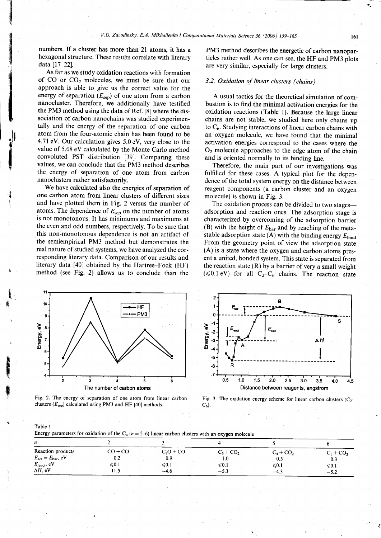numbers. If a cluster has more than 2l atoms. it has a hexagonal structure. These results correlate with literary data [17-22].

iil

 $\ddotsc$ 

', 'jril<br>'iril<br>'iril

{ ri

i t, Wi

fi

As far as we study oxidation reactions with formation of  $CO$  or  $CO<sub>2</sub>$  molecules, we must be sure that our approach is able to give us the correct value for the energy of separation  $(E_{\text{sen}})$  of one atom from a carbon nanocluster. Therefore, we additionally have testified the PM3 method using the data of Ref.  $[8]$  where the dissociation of carbon nanochains was studied experimentally and the energy of the separation of one carbon atom from the four-atomic chain has been found to be 4.71 eY. Our calculation gives 5.0 eV, very close to the value of 5.08 eV calculated by the Monte Carlo method convoluted PST distribution [39]. Comparing these values, we can conclude that the PM3 method describes the energy of separation of one atom from carbon nanoclusters rather satisfactorily.

We have calculated also the energies of separation of one carbon atom from linear clusters of different sizes and have plotted them in Fig. 2 versus the number of atoms. The dependence of  $E_{\text{sep}}$  on the number of atoms is not monotonous. It has minimums and maximums at the even and odd numbers, respectively. To be sure that this non-monotonous dependence is not an artifact of the semiempirical PM3 method but demonstrates the real nature of studied systems, we have analyzed the corresponding literary data. Comparison of our results and Iiterary data [40] obtained by the Hartree-Fock (HF) method (see Fig. 2) allows us to conclude than the

PM3 method describes the energetic of carbon nanoparticles rather well. As one can see, the HF and pM3 plots are very similar, especially for large clusters.

## 3.2. Oxidation of linear clusters (chains)

A usual tactics for the theoretical simulation of combustion is to find the minimal activation energies for the oxidation reactions (Table 1). Because the large linear chains are not stable, we studied here only chains up to  $C_6$ . Studying interactions of linear carbon chains with an oxygen molecule, we have found that the minimal activation energies correspond to the cases where the  $O<sub>2</sub>$  molecule approaches to the edge atom of the chain and is oriented normally to its binding line.

Therefore, the main part of our investigations was fulfilled for these cases. A typical plot for the dependence of the total system energy on the distance between reagent components (a carbon cluster and an oxygen molecule) is shown in Fig. 3.

The oxidation process can be divided to two stages adsorption and reaction ones. The adsorption stage is characterized by overcoming of the adsorption barrier (B) with the height of  $E_{bar}$  and by reaching of the metastable adsorption state (A) with the binding energy  $E_{bind}$ From the geometry point of view the adsorption state (A) is a state where the oxygen and carbon atoms present a united, bonded system. This state is separated from the reaction state  $(R)$  by a barrier of very a small weight ( $\leq 0.1$  eV) for all C<sub>2</sub>-C<sub>6</sub> chains. The reaction state







Fig. 3. The oxidation energy scheme for linear carbon clusters  $(C_2 C_6$ ).

| ۰.<br>×<br>×<br>×<br>e e |  |  |
|--------------------------|--|--|
|--------------------------|--|--|

Energy parameters for oxidation of the  $C_n$  ( $n=2-6$ ) linear carbon clusters with an oxygen molecule

| ---                                    | $-$ <i>n</i> $\cdots$ |                 |                  |                         |                 |
|----------------------------------------|-----------------------|-----------------|------------------|-------------------------|-----------------|
| n                                      |                       |                 |                  |                         |                 |
| Reaction products                      | $CO + CO$             | $C_2O$ + CO     | $C_3$ + $CO_2$   | $C_4$ + CO <sub>2</sub> | $C_5 + CO_2$    |
| $E_{\text{act}} = E_{\text{bar}}$ , eV | 0.2                   | 0.9             | IJ.              | 0.5                     | 0.3             |
| $E_{\text{react}}$ , eV                | $\leq 0.1$            | $\leqslant 0.1$ | ${\leqslant}0.1$ | $\leqslant 0.1$         | $\leqslant 0.1$ |
| $\Delta H$ , eV                        | $-11.5$               | $-4.6$          | $-5.3$           | $-4.3$                  | $-5.2$          |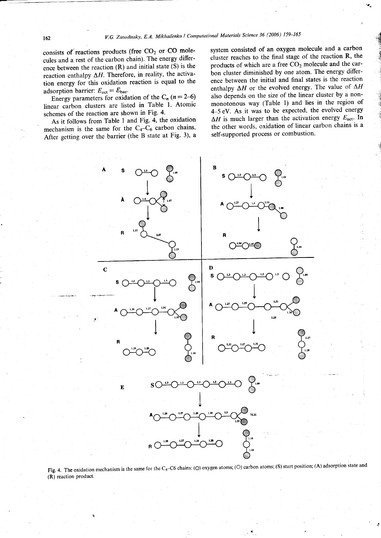consists of reactions products (free  $CO<sub>2</sub>$  or  $CO$  molecules and a rest of the carbon chain). The energy difference between the reaction (R) and initial state (S) is the reaction enthalpy  $\Delta H$ . Therefore, in reality, the activation energy for this oxidation reaction is equal to the adsorption barrier:  $E_{\text{act}} = E_{\text{bar}}$ .

Energy parameters for oxidation of the  $C_n$  ( $n=2-6$ ) linear carbon clusters are listed in Table 1. Atomic schemes of the reaction are shown in Fig. 4.

As it follows from Table I and Fig. 4, the oxidation mechanism is the same for the  $C_4-C_6$  carbon chains. After getting over the barrier (the B state at Fig. 3),  $a$  system consisted of an oxygen molecule and a carbon cluster reaches to the final stage of the reaction R, the products of which are a free  $CO<sub>2</sub>$  molecule and the carbon cluster diminished by one atom. The energy difference between the initial and final states is the reaction enthalpy  $\Delta H$  or the evolved energy. The value of  $\Delta H$ also depends on the size of the linear cluster by a nonmonotonous way (Table l) and lies in the region of 4-5 eV. As it was to be expected, the evolved energy  $\Delta H$  is much larger than the activation energy  $E_{\text{act}}$ . In the other words, oxidation of linear carbon chains is a self-supported process or combustion.

 $x^2 + y^2 + z^2 = 0$ ..: *<i><u><b>*</u>  $\mathcal{L}$ I

> I is<br>2 **I** r:i



Fig. 4. The oxidation mechanism is the same for the C<sub>4</sub>-C6 chains: ( $\odot$ ) oxygen atoms; ( $\odot$ ) carbon atoms; (S) start position; (A) adsorption state and (R) reaction product.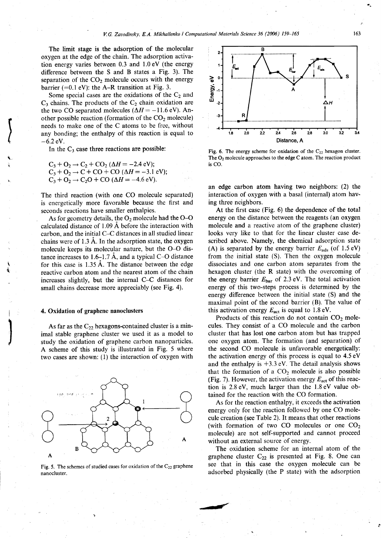The limit stage is the adsorption of the molecular oxygen at the edge of the chain. The adsorption activation energy varies between 0.3 and 1.0eV (the energy difference between the S and B states a Fig. 3). The separation of the  $CO<sub>2</sub>$  molecule occurs with the energy barrier ( $=0.1$  eV): the A-R transition at Fig. 3.

Some special cases are the oxidations of the  $C_2$  and  $C_3$  chains. The products of the  $C_2$  chain oxidation are the two CO separated molecules ( $\Delta H = -11.6$ eV). Another possible reaction (formation of the  $CO<sub>2</sub>$  molecule) needs to make one of the C atoms to be free, without any bonding; the enthalpy of this reaction is equal to  $-6.2$  eV.

In the  $C_3$  case three reactions are possible:

$$
C_3 + O_2 \rightarrow C_2 + CO_2 (\Delta H = -2.4 \text{ eV});
$$
  
\n
$$
C_3 + O_2 \rightarrow C + CO + CO (\Delta H = -3.1 \text{ eV});
$$
  
\n
$$
C_3 + O_2 \rightarrow C_2O + CO (\Delta H = -4.6 \text{ eV}).
$$

The third reaction (with one CO molecule separated) is energetically more favorable because the first and seconds reactions have smaller enthalpies.

As for geometry details, the  $O_2$  molecule had the O-O calculated distance of 1.09 A before the interaction with carbon, and the initial C-C distances in all studied linear chains were of 1.3 A. In the adsorption state, the oxygen molecule keeps its molecular nature, but the O-O distance increases to 1.6–1.7 Å, and a typical C–O distance for this case is 1.35 A. The distance between the edge reactive carbon atom and the nearest atom of the chain increases slightly, but the internal C-C distances for small chains decrease more appreciably (see Fig. 4).

### 4. Oxidation of graphene nanoclusters

 $\mathbf{I}$ 

As far as the  $C_{22}$  hexagons-contained cluster is a minimal stable graphene cluster we used it as a model to study the oxidation of graphene carbon nanoparticles. A scheme of this study is illustrated in Fig. 5 where two cases are shown: (l) the interaction of oxygen with



Fig. 5. The schemes of studied cases for oxidation of the  $C_{22}$  graphene nanocluster.



Fig. 6. The energy scheme for oxidation of the  $C_{22}$  hexagon cluster. The  $O_2$  molecule approaches to the edge C atom. The reaction product is CO.

an edge carbon atom having two neighbors: (2) the interaction of oxygen with a basal (internal) atom having three neighbors.

At the first case (Fig. 6) the dependence of the total energy on the distance between the reagents (an oxygen molecule and a reactive atom of the graphene cluster) looks very like to that for the linear cluster case described above. Namely, the chemical adsorption state (A) is separated by the energy barrier  $E_{ads}$  (of 1.5 eV) from the initial state (S). Then the oxygen molecule dissociates and one carbon atom separates from the hexagon cluster (the R state) with the overcoming of the energy barrier  $E_{bar}$  of 2.3 eV. The total activation energy of this two-steps process is determined by the energy difference between the initial state (S) and the maximal point of the second barrier (B). The value of this activation energy  $E_{\text{act}}$  is equal to 1.8 eV.

Products of this reaction do not contain  $CO<sub>2</sub>$  molecules. They consist of a CO molecule and the carbon cluster that has lost one carbon atom but has trapped one oxygen atom. The formation (and separation) of the second CO molecule is unfavorable energetically: the activation energy of this process is equal to 4.5 eV and the enthalpy is  $+3.3$  eV. The detail analysis shows that the formation of a  $CO<sub>2</sub>$  molecule is also possible (Fig. 7). However, the activation energy  $E_{\text{act}}$  of this reaction is 2.8eY, much larger than the l.8eV value obtained for the reaction with the CO formation.

As for the reaction enthalpy, it exceeds the activation energy only for the reaction followed by one CO molecule creation (see Table 2). It means that other reactions (with formation of two CO molecules or one  $CO<sub>2</sub>$ molecule) are not self-supported and cannot proceed without an external source of energy.

The oxidation scheme for an internal atom of the graphene cluster  $C_{22}$  is presented at Fig. 8. One can see that in this case the oxygen molecule can be adsorbed physically (the P state) with the adsorption

1d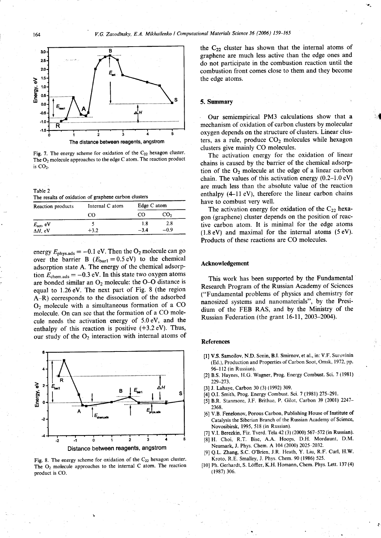

Fig. 7. The energy scheme for oxidation of the  $C_{22}$  hexagon cluster. The  $O<sub>2</sub>$  molecule approaches to the edge C atom. The reaction product is  $CO<sub>2</sub>$ .

Table 2 Its of oxidation of graphene carbon clusters

| <b>Reaction products</b> | Internal C atom | Edge $C$ atom |                 |
|--------------------------|-----------------|---------------|-----------------|
|                          | ററ              | CO.           | CO <sub>2</sub> |
| $E_{\text{act}}$ , eV    |                 | 1.8           | 2.8             |
| $\Delta H$ , eV          | $+3.2$          | $-3.4$        | -0.9            |

energy  $E_{\text{phys.ads}} = -0.1 \text{ eV}$ . Then the O<sub>2</sub> molecule can go over the barrier B  $(E_{bar1} = 0.5 \text{ eV})$  to the chemical adsorption state A. The energy of the chemical adsorption  $E_{\text{chem,ads}} = -0.3 \text{ eV}$ . In this state two oxygen atoms are bonded similar an  $O_2$  molecule: the O-O distance is equal to l.26eY. The next part of Fig. 8 (the region A-R) corresponds to the dissociation of the adsorbed  $O<sub>2</sub>$  molecule with a simultaneous formation of a CO molecule. On can see that the formation of a CO molecule needs the activation energy of  $5.0 \text{ eV}$ , and the enthalpy of this reaction is positive  $(+3.2 \text{ eV})$ . Thus, our study of the  $O_2$  interaction with internal atoms of



Fig. 8. The energy scheme for oxidation of the  $C_{22}$  hexagon cluster. The  $O_2$  molecule approaches to the internal C atom. The reaction product is CO.

the  $C_{22}$  cluster has shown that the internal atoms of graphene are much less active than the edge ones and do not participate in the combustion reaction until the combustion front comes close to them and they become the edge atoms.

#### 5. Summary

Our semiempirical PM3 calculations show that a mechanism of oxidation of carbon clusters by molecular oxygen depends on the structure of clusters. Linear clusters, as a rule, produce  $CO<sub>2</sub>$  molecules while hexagon clusters give mainly CO molecules.

 $\overline{\mathcal{A}}$ 

The activation energy for the oxidation of linear chains is caused by the barrier of the chemical adsorption of the  $O_2$  molecule at the edge of a linear carbon chain. The values of this activation energy (0.2-1.0 eV) are much less than the absolute value of the reaction enthalpy  $(4-11 \text{ eV})$ , therefore the linear carbon chains have to combust very well.

The activation energy for oxidation of the  $C_{22}$  hexagon (graphene) cluster depends on the position of reactive carbon atom. It is minimal for the edge atoms  $(1.8 \text{ eV})$  and maximal for the internal atoms  $(5 \text{ eV})$ . Products of these reactions are CO molecules.

#### Acknowledgement

This work has been supported by the Fundamental Research Program of the Russian Academy of Sciences ("Fundamental problems of physics and chemistry for nanosized systems and nanomaterials", by the Presidium of the FEB RAS, and by the Ministry of the Russian Federation (the grant 16-11, 2003-2004).

#### **References**

- [] V.S. Samoilov, N.D. Senin, B.I. Smirnov, et al., in: V.F. Surovinin (Ed.), Production and Properties of Carbon Soot, Omsk, 1972, pp. 96-112 (in Russian).
- [2] B.S. Haynes, H.G. Wagner, Prog. Energy Combust. Sci. 7 (1981) 229-273.
- [3] J. Lahaye, Carbon 30 (3) (1992) 309.
- [4] O.I. Smith, Prog. Energy Combust. Sci. 7 (1981) 275-291.
- [5] B.R. Stanmore, J.F. Brithae, P. Gilot, Carbon 39 (2001) 2247-2368.
- [6] V.B. Fenelonov, Porous Carbon, Publishing House of Institute of Catalysis the Siberian Branch of the Russian Academy of Science, Novosibirsk, 1995, 518 (in Russian).
- [7] V.I. Berezkin, Fiz. Tverd. Tela 42 (3) (2000) 567-572 (in Russian).
- [8] H. Choi, R.T. Bise, A.A. Hoops, D.H. Mordaunt, D.M. Neumark, J. Phys. Chem. A 104 (2000) 2025-2032.
- Q.L. Zhang, S.C. O'Brien, J.R. Heath, Y. Liu, R.F. Curl, H.W. Kroto, R.E. Smalley, J. Phys. Chem. 90 (1986) 525.
- [10] Ph. Gerhardt, S. Löffler, K.H. Homann, Chem. Phys. Lett. 137 (4) (1987) 306.